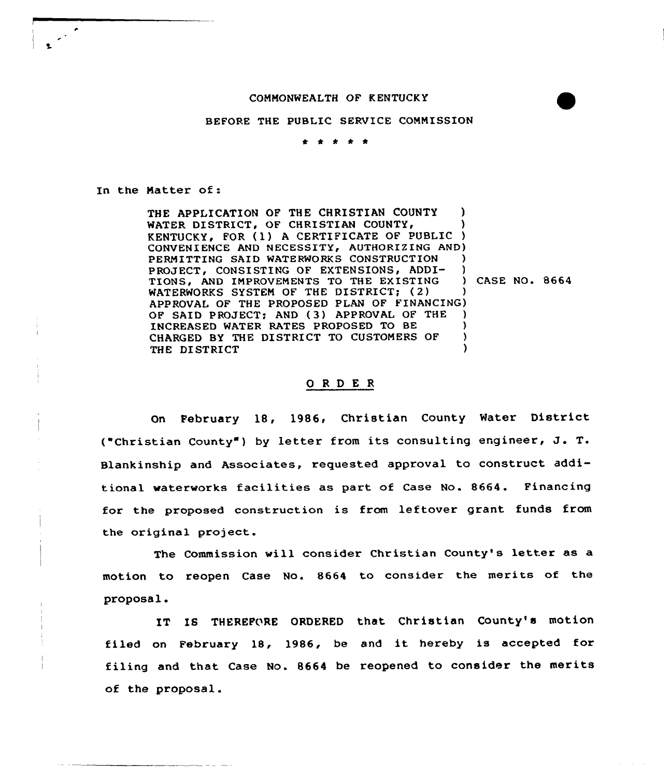## COMMONWEALTH OF K ENTUCK Y

## BEFORE THE PUBLIC SERVICE COMMISSION

. . . . .

In the Matter of:

THE APPLICATION OF THE CHRISTIAN COUNTY ) WATER DISTRICT, OF CHRISTIAN COUNTY, KENTUCKY, FOR (1) A CERTIFICATE OF PUBLIC) CONVENIENCE AND NECESSITY, AUTHORIZING AND) PERMITTING SAID WATERWORKS CONSTRUCTION PROJECT, CONSISTING OF EXTENSIONS, ADDI- )<br>TIONS. AND IMPROVEMENTS TO THE EXISTING ) CASE NO. 8664 TIONS, AND IMPROVEMENTS TO THE EXISTING WATERWORKS SYSTEM OF THE DISTRICT; (2) APPROVAL OF THE PROPOSED PLAN OF FINANCING) OF SAID PROJECT; AND (3) APPROVAL OF THE INCREASED WATER RATES PROPOSED TO BE CHARGED BY THE DISTRICT TO CUSTOMERS OF THE DISTRICT

## 0 <sup>R</sup> <sup>D</sup> E R

On February 18, 1986, Christian County Water District ("Christian County" ) by letter from its consulting engineer, J. T. Blankinship and Associates, requested approval to construct additional waterworks facilities as part of Case No. 8664. Financing for the proposed construction is from leftover grant funds from the original project.

The Commission will consider Christian County's letter as a motion to reopen Case No. 8664 to consider the merits of the proposal.

IT IS THEREFORE ORDERED that Christian County's motion filed on February 18, 1986, be and it hereby is accepted for filing and that Case No. 8664 be reopened to consider the merits of the proposal.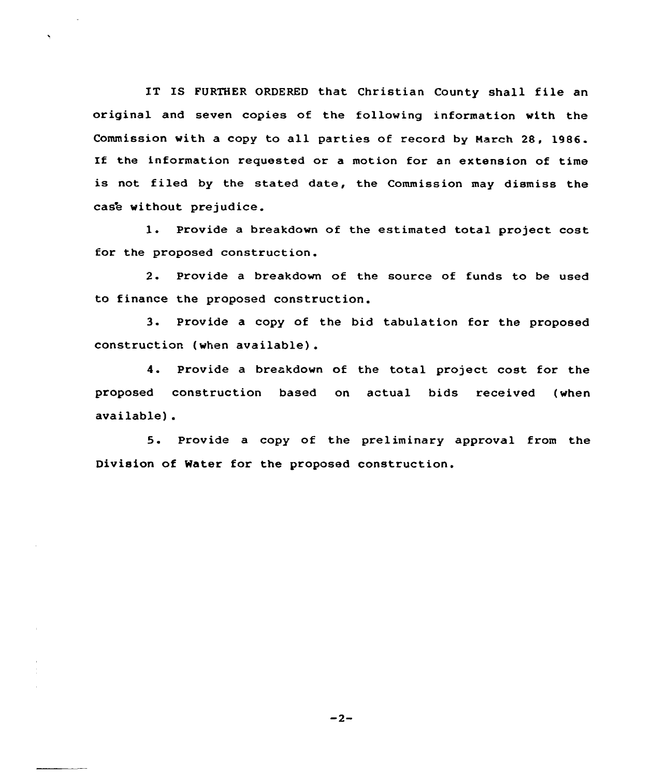IT IS FURTHER ORDERED that Christian County shall file an original and seven copies of the following information with the Commission with a copy to all parties of record by Narch 28, 1986. If the information requested or a motion for an extension of time is not filed by the stated date, the Commission may dismiss the case without prejudice.

l. Provide <sup>a</sup> breakdown of the estimated total project cost for the proposed construction.

2. Provide a breakdown of the source of funds to be used to finance the proposed construction.

3. Provide <sup>a</sup> copy of the bid tabulation for the proposed construction (when available) .

4. Provide <sup>a</sup> breakdown of the total project cost for the proposed construction based on actual bids received (when available) .

5. Provide <sup>a</sup> copy of the preliminary approval from the Division of Water for the proposed construction.

 $-2-$